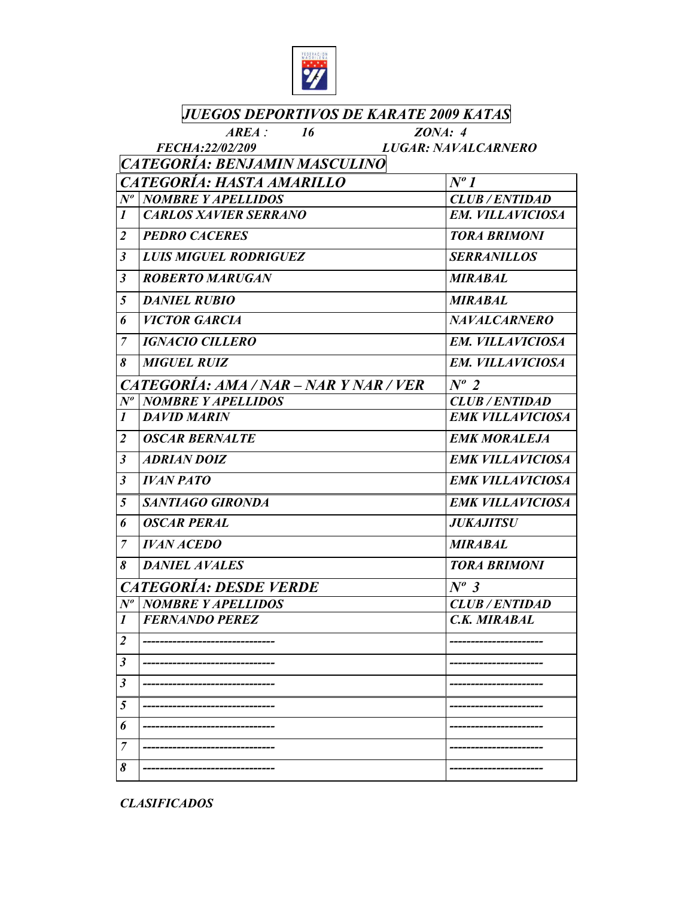

# **JUEGOS DEPORTIVOS DE KARATE 2009 KATAS**<br>AREA : 16 **ZONA**: 4

 $AREA$ : 16

|                      | FECHA:22/02/209                        | <b>LUGAR: NAVALCARNERO</b> |
|----------------------|----------------------------------------|----------------------------|
|                      | CATEGORÍA: BENJAMIN MASCULINO          |                            |
|                      | CATEGORÍA: HASTA AMARILLO              | $N^{\prime}$ 1             |
| $N^o$                | <b>NOMBRE Y APELLIDOS</b>              | <b>CLUB/ENTIDAD</b>        |
| $\boldsymbol{l}$     | <b>CARLOS XAVIER SERRANO</b>           | <b>EM. VILLAVICIOSA</b>    |
| $\overline{2}$       | <b>PEDRO CACERES</b>                   | <b>TORA BRIMONI</b>        |
| $\boldsymbol{\beta}$ | <b>LUIS MIGUEL RODRIGUEZ</b>           | <b>SERRANILLOS</b>         |
| $\boldsymbol{\beta}$ | <b>ROBERTO MARUGAN</b>                 | <b>MIRABAL</b>             |
| 5                    | <b>DANIEL RUBIO</b>                    | <b>MIRABAL</b>             |
| 6                    | <b>VICTOR GARCIA</b>                   | <b>NAVALCARNERO</b>        |
| $\overline{7}$       | <b>IGNACIO CILLERO</b>                 | <b>EM. VILLAVICIOSA</b>    |
| 8                    | <b>MIGUEL RUIZ</b>                     | <b>EM. VILLAVICIOSA</b>    |
|                      | CATEGORÍA: AMA / NAR – NAR Y NAR / VER | $N^o$ 2                    |
| $N^{\mathit{o}}$     | <b>NOMBRE Y APELLIDOS</b>              | <b>CLUB/ENTIDAD</b>        |
| $\mathbf{I}$         | <b>DAVID MARIN</b>                     | <b>EMK VILLAVICIOSA</b>    |
| $\overline{2}$       | <b>OSCAR BERNALTE</b>                  | <b>EMK MORALEJA</b>        |
| $\boldsymbol{\beta}$ | <b>ADRIAN DOIZ</b>                     | <b>EMK VILLAVICIOSA</b>    |
| $\boldsymbol{\beta}$ | <b>IVAN PATO</b>                       | <b>EMK VILLAVICIOSA</b>    |
| 5                    | SANTIAGO GIRONDA                       | <b>EMK VILLAVICIOSA</b>    |
| 6                    | <b>OSCAR PERAL</b>                     | <i><b>JUKAJITSU</b></i>    |
| $\overline{7}$       | <b>IVAN ACEDO</b>                      | <b>MIRABAL</b>             |
| 8                    | <b>DANIEL AVALES</b>                   | <b>TORA BRIMONI</b>        |
|                      | <b>CATEGORIA: DESDE VERDE</b>          | $N^{\circ}$ 3              |
| $N^{\mathit{o}}$     | <b>NOMBRE Y APELLIDOS</b>              | <b>CLUB/ENTIDAD</b>        |
| $\boldsymbol{l}$     | <b>FERNANDO PEREZ</b>                  | C.K. MIRABAL               |
| $\overline{2}$       |                                        |                            |
| $\boldsymbol{\beta}$ |                                        |                            |
| $\boldsymbol{\beta}$ |                                        |                            |
| 5                    |                                        |                            |
| 6                    |                                        |                            |

7 ------------------------------- ---------------------- 8 ------------------------------- ----------------------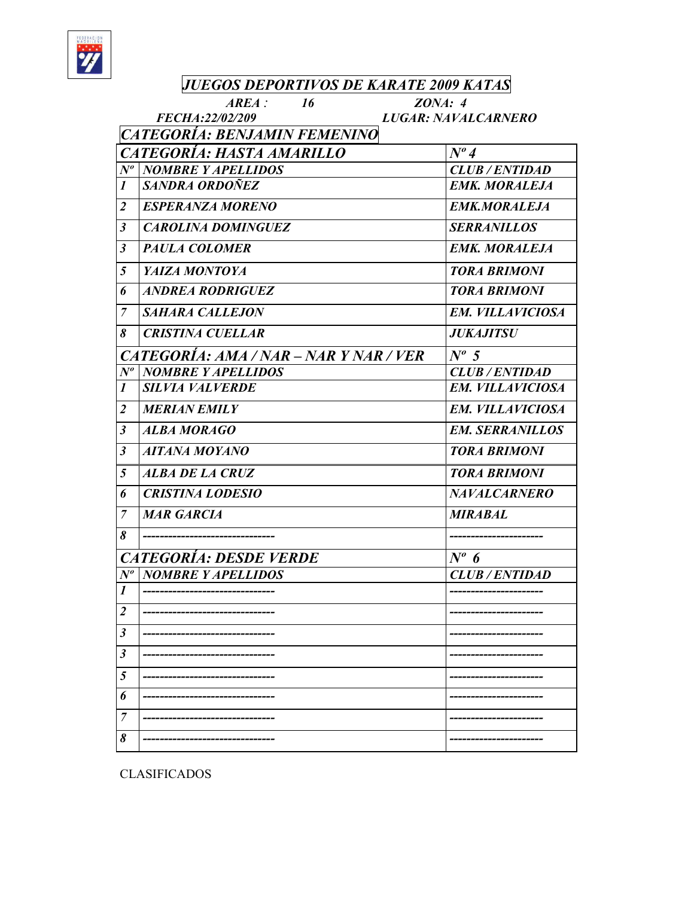

| JUEGOS DEPORTIVOS DE KARATE 2009 KATAS |                                        |                            |
|----------------------------------------|----------------------------------------|----------------------------|
| <i>16</i><br>ZONA: 4<br>$AREA$ :       |                                        |                            |
|                                        | FECHA:22/02/209                        | <b>LUGAR: NAVALCARNERO</b> |
|                                        | CATEGORÍA: BENJAMIN FEMENINO           |                            |
|                                        | CATEGORÍA: HASTA AMARILLO              | $N^{\circ}$ 4              |
| $N^o$                                  | <b>NOMBRE Y APELLIDOS</b>              | <b>CLUB/ENTIDAD</b>        |
| $\boldsymbol{l}$                       | SANDRA ORDOÑEZ                         | <b>EMK. MORALEJA</b>       |
| 2                                      | <b>ESPERANZA MORENO</b>                | <b>EMK.MORALEJA</b>        |
| $\boldsymbol{\beta}$                   | <b>CAROLINA DOMINGUEZ</b>              | <b>SERRANILLOS</b>         |
| $\mathbf{3}$                           | <b>PAULA COLOMER</b>                   | <b>EMK. MORALEJA</b>       |
| 5                                      | YAIZA MONTOYA                          | <b>TORA BRIMONI</b>        |
| 6                                      | <b>ANDREA RODRIGUEZ</b>                | <b>TORA BRIMONI</b>        |
| 7                                      | <b>SAHARA CALLEJON</b>                 | <b>EM. VILLAVICIOSA</b>    |
| 8                                      | <b>CRISTINA CUELLAR</b>                | <b>JUKAJITSU</b>           |
|                                        | CATEGORÍA: AMA / NAR – NAR Y NAR / VER | $N^{\circ}$ 5              |
| $N^o$                                  | <b>NOMBRE Y APELLIDOS</b>              | <b>CLUB/ENTIDAD</b>        |
| $\mathbf{I}$                           | <b>SILVIA VALVERDE</b>                 | <b>EM. VILLAVICIOSA</b>    |
| $\overline{2}$                         | <b>MERIAN EMILY</b>                    | <b>EM. VILLAVICIOSA</b>    |
| $\mathfrak{Z}$                         | <b>ALBA MORAGO</b>                     | <b>EM. SERRANILLOS</b>     |
| $\mathfrak{z}$                         | <b>AITANA MOYANO</b>                   | <b>TORA BRIMONI</b>        |
| 5                                      | ALBA DE LA CRUZ                        | <b>TORA BRIMONI</b>        |
| 6                                      | <b>CRISTINA LODESIO</b>                | <b>NAVALCARNERO</b>        |
| $\overline{7}$                         | <b>MAR GARCIA</b>                      | <b>MIRABAL</b>             |
| 8                                      |                                        |                            |
|                                        | <b>CATEGORIA: DESDE VERDE</b>          | $N^{\circ}$ 6              |
|                                        | Nº NOMBRE Y APELLIDOS                  | <b>CLUB/ENTIDAD</b>        |
| 1                                      |                                        |                            |
| 2                                      |                                        |                            |
| 3                                      |                                        |                            |
| 3                                      |                                        |                            |
| 5                                      |                                        |                            |
| 6                                      |                                        |                            |
| 7                                      |                                        |                            |
| 8                                      |                                        |                            |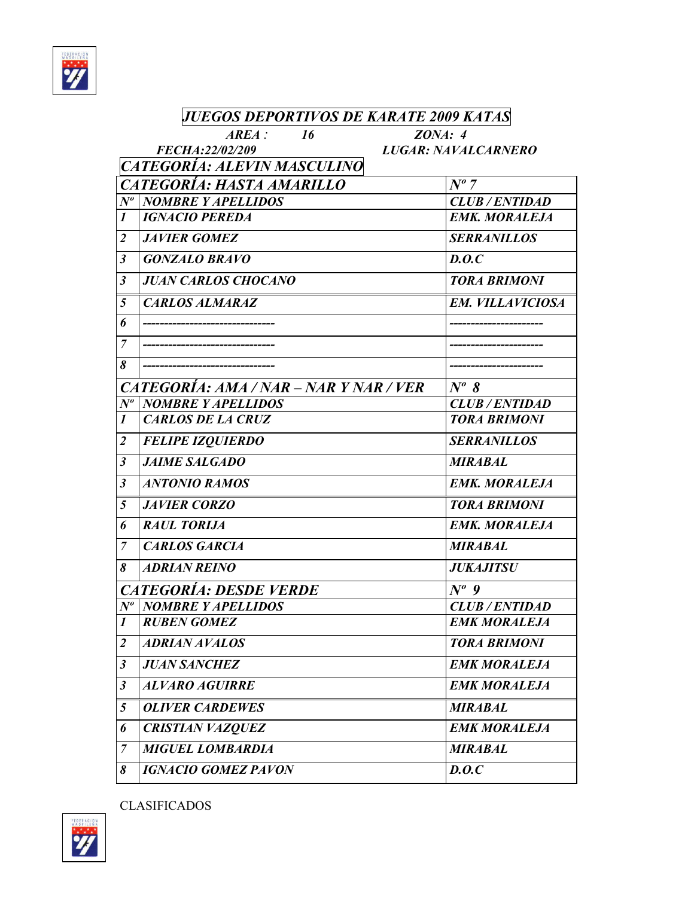

### JUEGOS DEPORTIVOS DE KARATE 2009 KATAS

*AREA* : 16 *ZONA*: 4<br>*FECHA*:22/02/209 *LUGAR*: NAVAI LUGAR: NAVALCARNERO

| CATEGORÍA: ALEVIN MASCULINO |                                        |                         |
|-----------------------------|----------------------------------------|-------------------------|
|                             | CATEGORÍA: HASTA AMARILLO              | $N^{\sigma}$ 7          |
|                             | Nº NOMBRE Y APELLIDOS                  | <b>CLUB/ENTIDAD</b>     |
| $\mathbf{I}$                | <b>IGNACIO PEREDA</b>                  | <b>EMK. MORALEJA</b>    |
| $\overline{2}$              | <b>JAVIER GOMEZ</b>                    | <b>SERRANILLOS</b>      |
| $\boldsymbol{\beta}$        | <b>GONZALO BRAVO</b>                   | D.O.C                   |
| $\mathfrak{z}$              | <b>JUAN CARLOS CHOCANO</b>             | <b>TORA BRIMONI</b>     |
| 5                           | <b>CARLOS ALMARAZ</b>                  | <b>EM. VILLAVICIOSA</b> |
| 6                           |                                        |                         |
| $\overline{7}$              |                                        |                         |
| 8                           |                                        |                         |
|                             | CATEGORÍA: AMA / NAR – NAR Y NAR / VER | $N^o \, s$              |
| $N^{\mathit{o}}$            | <b>NOMBRE Y APELLIDOS</b>              | <b>CLUB/ENTIDAD</b>     |
| $\boldsymbol{l}$            | <b>CARLOS DE LA CRUZ</b>               | <b>TORA BRIMONI</b>     |
| $\overline{2}$              | <b>FELIPE IZQUIERDO</b>                | <b>SERRANILLOS</b>      |
| $\mathfrak{z}$              | <b>JAIME SALGADO</b>                   | <b>MIRABAL</b>          |
| $\mathfrak{z}$              | <b>ANTONIO RAMOS</b>                   | <b>EMK. MORALEJA</b>    |
| 5                           | <b>JAVIER CORZO</b>                    | <b>TORA BRIMONI</b>     |
| 6                           | <b>RAUL TORIJA</b>                     | <b>EMK. MORALEJA</b>    |
| 7                           | <b>CARLOS GARCIA</b>                   | <b>MIRABAL</b>          |
| 8                           | <b>ADRIAN REINO</b>                    | <b>JUKAJITSU</b>        |
|                             | <b>CATEGORÍA: DESDE VERDE</b>          | $N^o$ 9                 |
| $N^{\mathit{o}}$            | <b>NOMBRE Y APELLIDOS</b>              | <b>CLUB/ENTIDAD</b>     |
| $\boldsymbol{I}$            | <b>RUBEN GOMEZ</b>                     | <b>EMK MORALEJA</b>     |
| $\overline{2}$              | <b>ADRIAN AVALOS</b>                   | <b>TORA BRIMONI</b>     |
| $\boldsymbol{\beta}$        | <b>JUAN SANCHEZ</b>                    | <b>EMK MORALEJA</b>     |
| $\mathfrak{z}$              | <b>ALVARO AGUIRRE</b>                  | <b>EMK MORALEJA</b>     |
| 5                           | <b>OLIVER CARDEWES</b>                 | <b>MIRABAL</b>          |
| 6                           | <b>CRISTIAN VAZQUEZ</b>                | <b>EMK MORALEJA</b>     |
| $\overline{7}$              | <b>MIGUEL LOMBARDIA</b>                | <b>MIRABAL</b>          |
| 8                           | <b>IGNACIO GOMEZ PAVON</b>             | D.0.C                   |

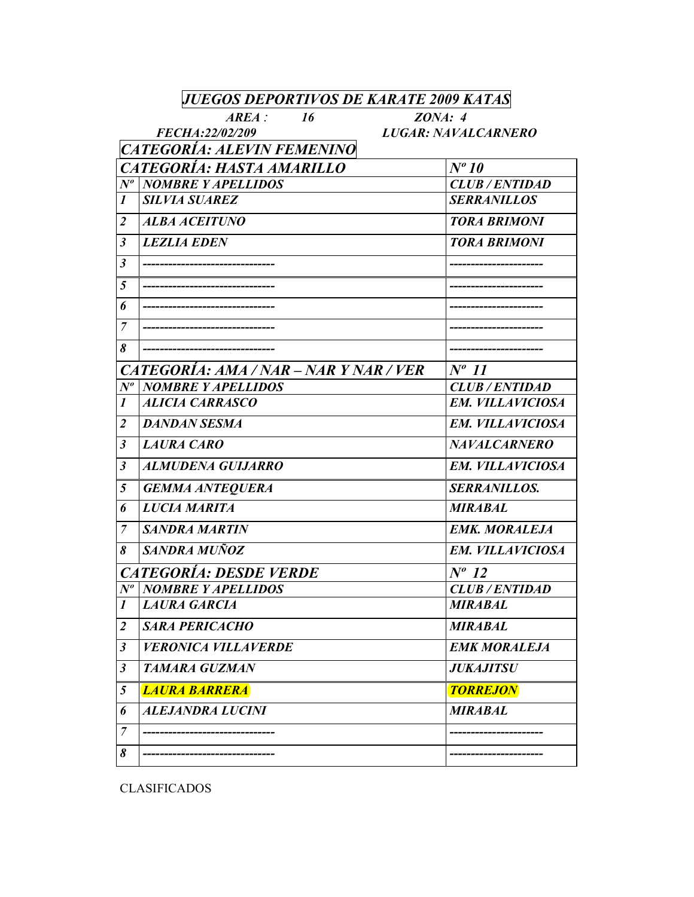|                      | JUEGOS DEPORTIVOS DE KARATE 2009 KATAS |                            |
|----------------------|----------------------------------------|----------------------------|
|                      | ZONA: 4<br>$AREA$ :<br><b>16</b>       |                            |
|                      | FECHA:22/02/209                        | <b>LUGAR: NAVALCARNERO</b> |
|                      | CATEGORÍA: ALEVIN FEMENINO             |                            |
|                      | CATEGORÍA: HASTA AMARILLO              | $N^{\circ}10$              |
| $N^o$                | <b>NOMBRE Y APELLIDOS</b>              | <b>CLUB/ENTIDAD</b>        |
| $\boldsymbol{l}$     | <b>SILVIA SUAREZ</b>                   | <b>SERRANILLOS</b>         |
| $\overline{2}$       | <b>ALBA ACEITUNO</b>                   | <b>TORA BRIMONI</b>        |
| $\boldsymbol{\beta}$ | <b>LEZLIA EDEN</b>                     | <b>TORA BRIMONI</b>        |
| $\boldsymbol{\beta}$ |                                        |                            |
| 5                    |                                        |                            |
| 6                    |                                        |                            |
| $\overline{7}$       |                                        |                            |
| 8                    |                                        |                            |
|                      | CATEGORÍA: AMA / NAR – NAR Y NAR / VER | $N^o$ 11                   |
| $N^{\overline{o}}$   | <b>NOMBRE Y APELLIDOS</b>              | <b>CLUB/ENTIDAD</b>        |
| $\boldsymbol{l}$     | <b>ALICIA CARRASCO</b>                 | <b>EM. VILLAVICIOSA</b>    |
| $\overline{2}$       | <b>DANDAN SESMA</b>                    | <b>EM. VILLAVICIOSA</b>    |
| $\boldsymbol{\beta}$ | <b>LAURA CARO</b>                      | <b>NAVALCARNERO</b>        |
| $\boldsymbol{\beta}$ | <b>ALMUDENA GUIJARRO</b>               | <b>EM. VILLAVICIOSA</b>    |
| 5                    | <b>GEMMA ANTEQUERA</b>                 | <b>SERRANILLOS.</b>        |
| 6                    | <b>LUCIA MARITA</b>                    | <b>MIRABAL</b>             |
| 7                    | <b>SANDRA MARTIN</b>                   | <b>EMK. MORALEJA</b>       |
| 8                    | SANDRA MUÑOZ                           | <b>EM. VILLAVICIOSA</b>    |
|                      | <b>CATEGORIA: DESDE VERDE</b>          | $N^o$ 12                   |
|                      | Nº NOMBRE Y APELLIDOS                  | <b>CLUB/ENTIDAD</b>        |
| $\boldsymbol{l}$     | <b>LAURA GARCIA</b>                    | <b>MIRABAL</b>             |
| 2                    | <b>SARA PERICACHO</b>                  | <b>MIRABAL</b>             |
| $\boldsymbol{\beta}$ | <b>VERONICA VILLAVERDE</b>             | <b>EMK MORALEJA</b>        |
| $\boldsymbol{\beta}$ | <b>TAMARA GUZMAN</b>                   | <b>JUKAJITSU</b>           |
| 5                    | <b>LAURA BARRERA</b>                   | <b>TORREJON</b>            |
| 6                    | <b>ALEJANDRA LUCINI</b>                | <b>MIRABAL</b>             |
| $\overline{7}$       |                                        |                            |
| 8                    |                                        |                            |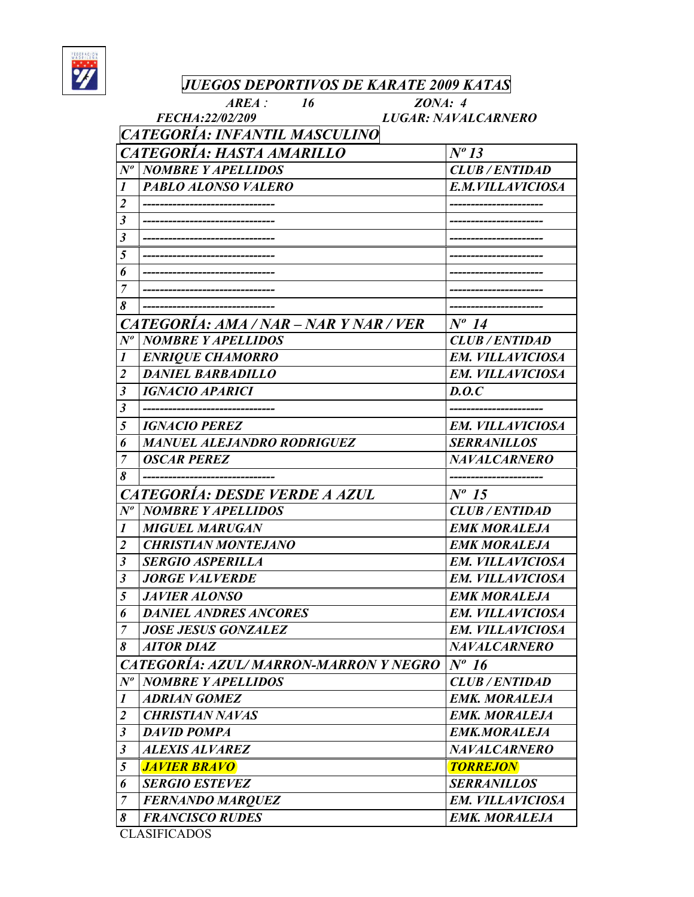

#### JUEGOS DEPORTIVOS DE KARATE 2009 KATAS AREA : 16 ZONA: 4 FECHA:22/02/209 LUGAR: NAVALCARNERO CATEGORÍA: INFANTIL MASCULINO  $CATEGORIA: HASTA AMARILLO$   $\vert N^o 13 \vert$ Nº NOMBRE Y APELLIDOS CLUB / ENTIDAD 1 | PABLO ALONSO VALERO | E.M.VILLAVICIOSA 2 ------------------------------- ---------------------- 3 ------------------------------- ---------------------- 3 ------------------------------- ---------------------- 5 ------------------------------- ---------------------- 6 ------------------------------- ---------------------- 7 ------------------------------- ---------------------- 8 ------------------------------- ----------------------  $CATEGORIA: AMA/NAR-NAR YNAR/VER$   $\vert N^o \vert 14$ Nº NOMBRE Y APELLIDOS CLUB / ENTIDAD | ENRIQUE CHAMORRO | EM. VILLAVICIOSA 2 | DANIEL BARBADILLO | EM. VILLAVICIOSA  $3 \mid$  *IGNACIO APARICI*  $0.0 \cdot C$ 3 ------------------------------- ---------------------- 5 IGNACIO PEREZ EM. VILLAVICIOSA 6 MANUEL ALEJANDRO RODRIGUEZ SERRANILLOS **7** OSCAR PEREZ NAVALCARNERO 8 ------------------------------- ----------------------  $CATEGORIA: DESDE VERDE A AZUL$   $|N^o|15$ Nº | NOMBRE Y APELLIDOS | CLUB / ENTIDAD 1 | MIGUEL MARUGAN **EMK MORALEJA** 2 CHRISTIAN MONTEJANO EMK MORALEJA **SERGIO ASPERILLA** EM. VILLAVICIOSA 3 JORGE VALVERDE EM. VILLAVICIOSA 5 JAVIER ALONSO EMK MORALEJA 6 DANIEL ANDRES ANCORES EM. VILLAVICIOSA 7 | JOSE JESUS GONZALEZ | EM. VILLAVICIOSA 8 AITOR DIAZ NAVALCARNERO CATEGORÍA: AZUL/MARRON-MARRON Y NEGRO Nº 16 Nº NOMBRE Y APELLIDOS CLUB / ENTIDAD 1 ADRIAN GOMEZ **EMK.** MORALEJA 2 CHRISTIAN NAVAS EMK. MORALEJA 3 DAVID POMPA EMK.MORALEJA 3 ALEXIS ALVAREZ NAVALCARNERO 5 JAVIER BRAVO **TORREJON** 6 SERGIO ESTEVEZ SERRANILLOS **FERNANDO MARQUEZ EM. VILLAVICIOSA** 8 FRANCISCO RUDES EMK. MORALEJA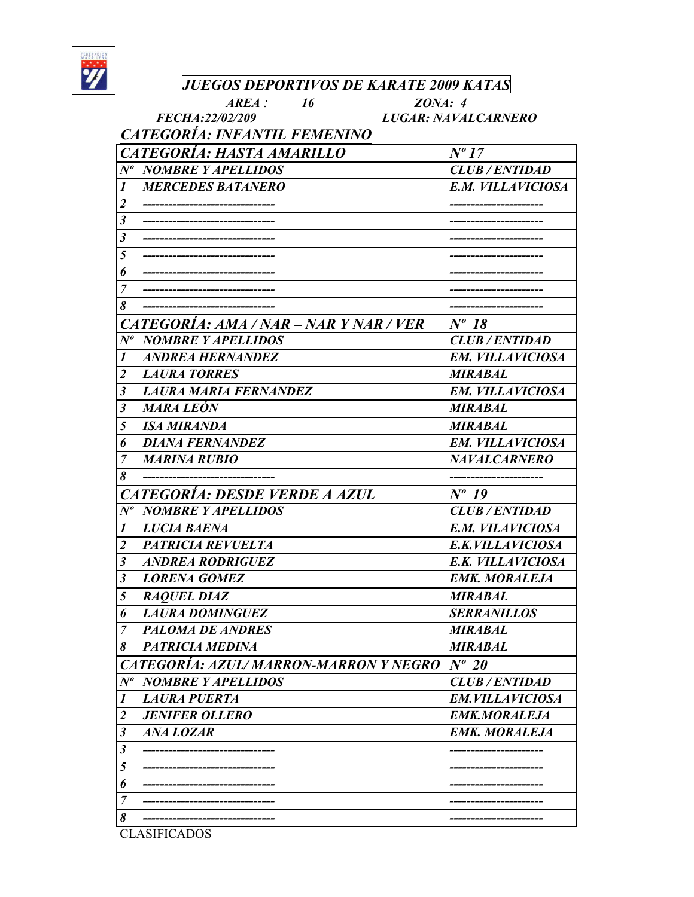

# **JUEGOS DEPORTIVOS DE KARATE 2009 KATAS**<br>AREA : 16 ZONA: 4

 $ZONA: 4$ 

CATEGORÍA: INFANTIL FEMENINO

FECHA:22/02/209 LUGAR: NAVALCARNERO

|                      | САТЕООМА, ИМАЮНИЕТЕМЕРИО               |                         |
|----------------------|----------------------------------------|-------------------------|
| $N^{\sigma}$         | CATEGORÍA: HASTA AMARILLO              | $N^{o}$ 17              |
|                      | <b>NOMBRE Y APELLIDOS</b>              | <b>CLUB/ENTIDAD</b>     |
| 1                    | <b>MERCEDES BATANERO</b>               | E.M. VILLAVICIOSA       |
| $\overline{2}$       |                                        |                         |
| $\boldsymbol{\beta}$ |                                        |                         |
| $\mathfrak{z}$       |                                        |                         |
| 5                    |                                        |                         |
| 6                    | ----------------------                 | ----------------        |
| 7                    | ------------------------               | -----------------       |
| 8                    | --------------------------------       |                         |
|                      | CATEGORÍA: AMA / NAR - NAR Y NAR / VER | $N^o$ 18                |
| $N^o$                | <b>NOMBRE Y APELLIDOS</b>              | <b>CLUB/ENTIDAD</b>     |
| 1                    | <b>ANDREA HERNANDEZ</b>                | <b>EM. VILLAVICIOSA</b> |
| $\overline{2}$       | <b>LAURA TORRES</b>                    | <b>MIRABAL</b>          |
| $\boldsymbol{\beta}$ | LAURA MARIA FERNANDEZ                  | <b>EM. VILLAVICIOSA</b> |
| $\boldsymbol{\beta}$ | <b>MARA LEÓN</b>                       | <b>MIRABAL</b>          |
| 5                    | <b>ISA MIRANDA</b>                     | <b>MIRABAL</b>          |
| 6                    | <b>DIANA FERNANDEZ</b>                 | <b>EM. VILLAVICIOSA</b> |
| 7                    | <b>MARINA RUBIO</b>                    | <b>NAVALCARNERO</b>     |
| 8                    |                                        | ---------------------   |
|                      | <b>CATEGORÍA: DESDE VERDE A AZUL</b>   | $N^o$ 19                |
| $N^{\sigma}$         | <b>NOMBRE Y APELLIDOS</b>              | <b>CLUB/ENTIDAD</b>     |
| 1                    | <b>LUCIA BAENA</b>                     | E.M. VILAVICIOSA        |
| $\overline{2}$       | PATRICIA REVUELTA                      | E.K.VILLAVICIOSA        |
| $\boldsymbol{\beta}$ | <b>ANDREA RODRIGUEZ</b>                | E.K. VILLAVICIOSA       |
| $\boldsymbol{\beta}$ | <b>LORENA GOMEZ</b>                    | <b>EMK. MORALEJA</b>    |
| 5                    | <b>RAQUEL DIAZ</b>                     | <b>MIRABAL</b>          |
| 6                    | <b>LAURA DOMINGUEZ</b>                 | <b>SERRANILLOS</b>      |
| $\overline{7}$       | <b>PALOMA DE ANDRES</b>                | <b>MIRABAL</b>          |
| $\boldsymbol{8}$     | PATRICIA MEDINA                        | <b>MIRABAL</b>          |
|                      | CATEGORÍA: AZUL/MARRON-MARRON Y NEGRO  | $N^o$ 20                |
| $N^o$                | <b>NOMBRE Y APELLIDOS</b>              | <b>CLUB/ENTIDAD</b>     |
| $\boldsymbol{l}$     | <b>LAURA PUERTA</b>                    | <b>EM.VILLAVICIOSA</b>  |
| $\overline{2}$       | <b>JENIFER OLLERO</b>                  | <b>EMK.MORALEJA</b>     |
| $\boldsymbol{\beta}$ | <b>ANA LOZAR</b>                       | <b>EMK. MORALEJA</b>    |
| $\boldsymbol{\beta}$ |                                        |                         |
| 5                    |                                        |                         |
| 6                    |                                        | ----------------        |
| 7                    |                                        |                         |
| 8                    |                                        |                         |
|                      | <b>CLASIFICADOS</b>                    |                         |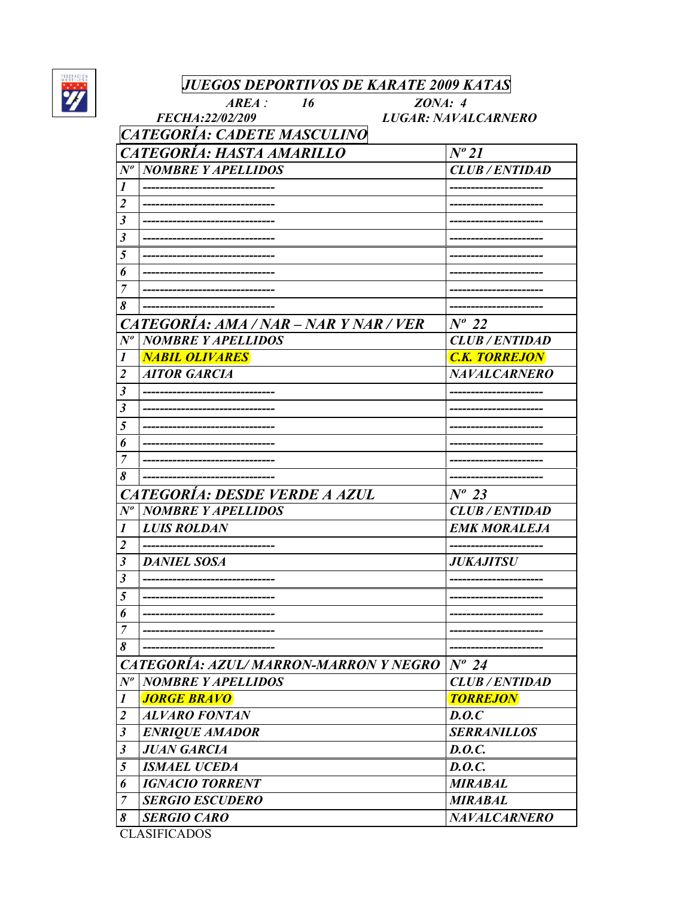

## JUEGOS DEPORTIVOS DE KARATE 2009 KATAS

AREA : 16 ZONA: 4

FECHA:22/02/209 LUGAR: NAVALCARNERO

CATEGORÍA: CADETE MASCULINO

|                      | <u> CATEGORIA: CADETE MASCULINO</u>    |                      |
|----------------------|----------------------------------------|----------------------|
|                      | CATEGORÍA: HASTA AMARILLO              | $N^o 21$             |
| $N^o$                | <b>NOMBRE Y APELLIDOS</b>              | <b>CLUB/ENTIDAD</b>  |
| $\boldsymbol{l}$     |                                        | ---------------      |
| $\overline{2}$       |                                        |                      |
| $\boldsymbol{\beta}$ |                                        |                      |
| $\boldsymbol{\beta}$ |                                        |                      |
| 5                    |                                        |                      |
| 6                    |                                        |                      |
| $\overline{7}$       |                                        |                      |
| 8                    |                                        |                      |
|                      | CATEGORÍA: AMA / NAR – NAR Y NAR / VER | $N^o$ 22             |
| $N^o$                | <b>NOMBRE Y APELLIDOS</b>              | <b>CLUB/ENTIDAD</b>  |
| $\boldsymbol{I}$     | <b>NABIL OLIVARES</b>                  | <b>C.K. TORREJON</b> |
| $\overline{2}$       | <b>AITOR GARCIA</b>                    | <b>NAVALCARNERO</b>  |
| $\boldsymbol{\beta}$ |                                        |                      |
| $\boldsymbol{\beta}$ |                                        |                      |
| 5                    |                                        |                      |
| 6                    |                                        |                      |
| 7                    |                                        |                      |
| 8                    |                                        |                      |
|                      | <b>CATEGORÍA: DESDE VERDE A AZUL</b>   | $N^{\circ}$ 23       |
| $N^o$                | <b>NOMBRE Y APELLIDOS</b>              | <b>CLUB/ENTIDAD</b>  |
| $\bm{l}$             | <b>LUIS ROLDAN</b>                     | <b>EMK MORALEJA</b>  |
| $\overline{2}$       |                                        |                      |
| $\boldsymbol{\beta}$ | <b>DANIEL SOSA</b>                     | <b>JUKAJITSU</b>     |
| $\boldsymbol{\beta}$ |                                        |                      |
| 5                    |                                        |                      |
| 6                    |                                        |                      |
| 7                    |                                        |                      |
| 8                    |                                        |                      |
|                      | CATEGORÍA: AZUL/MARRON-MARRON Y NEGRO  | $N^o$ 24             |
| $N^o$                | <b>NOMBRE Y APELLIDOS</b>              | <b>CLUB/ENTIDAD</b>  |
| $\boldsymbol{l}$     | <b>JORGE BRAVO</b>                     | <b>TORREJON</b>      |
| $\overline{2}$       | <b>ALVARO FONTAN</b>                   | D.0.C                |
| $\boldsymbol{\beta}$ | <b>ENRIQUE AMADOR</b>                  | <b>SERRANILLOS</b>   |

3 JUAN GARCIA D.O.C. 5 ISMAEL UCEDA D.O.C. 6 | IGNACIO TORRENT | MIRABAL 7 | SERGIO ESCUDERO | MIRABAL

8 SERGIO CARO NAVALCARNERO